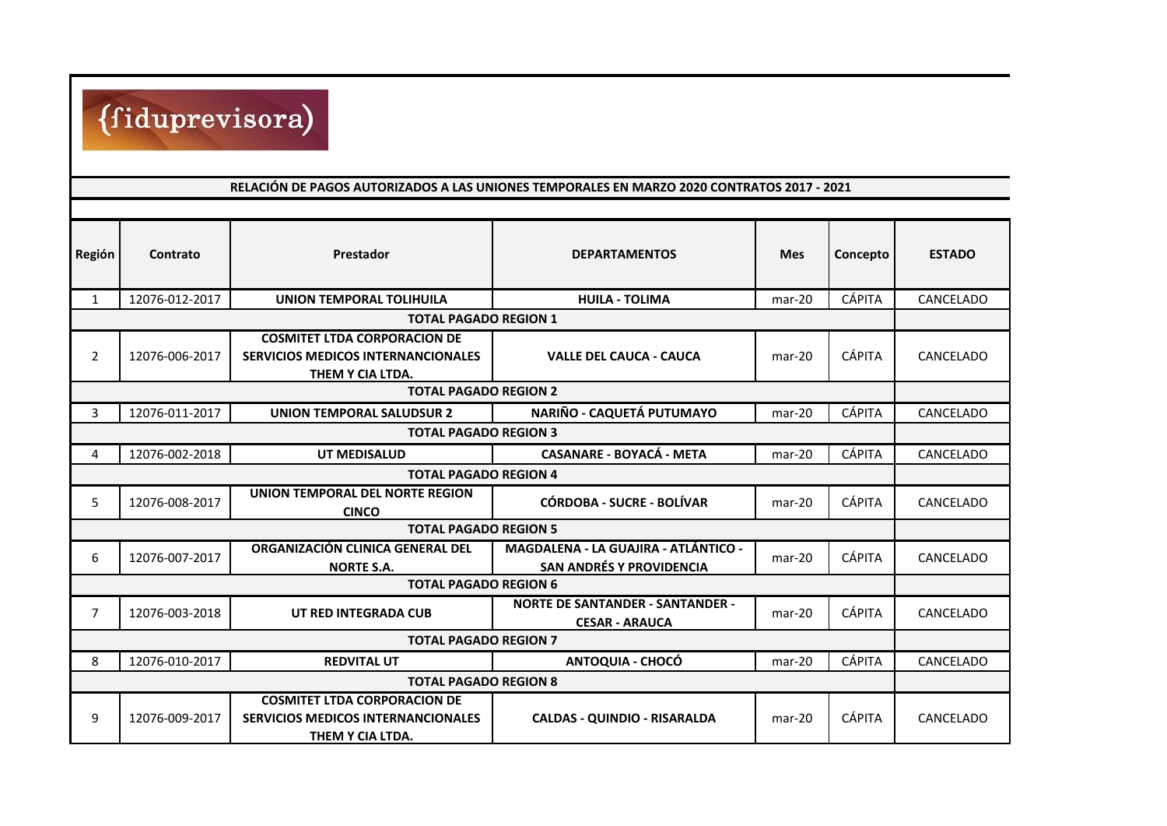

## **RELACIÓN DE PAGOS AUTORIZADOS A LAS UNIONES TEMPORALES EN MARZO 2020 CONTRATOS 2017 - 2021**

| Región                       | Contrato                                         | <b>Prestador</b>                                                                                     | <b>DEPARTAMENTOS</b>                                                           | <b>Mes</b> | Concepto      | <b>ESTADO</b> |  |  |
|------------------------------|--------------------------------------------------|------------------------------------------------------------------------------------------------------|--------------------------------------------------------------------------------|------------|---------------|---------------|--|--|
| $\mathbf{1}$                 | 12076-012-2017                                   | <b>UNION TEMPORAL TOLIHUILA</b>                                                                      | <b>HUILA - TOLIMA</b>                                                          | $mar-20$   | <b>CÁPITA</b> | CANCELADO     |  |  |
| <b>TOTAL PAGADO REGION 1</b> |                                                  |                                                                                                      |                                                                                |            |               |               |  |  |
| $\overline{2}$               | 12076-006-2017                                   | <b>COSMITET LTDA CORPORACION DE</b><br><b>SERVICIOS MEDICOS INTERNANCIONALES</b>                     | <b>VALLE DEL CAUCA - CAUCA</b>                                                 | $mar-20$   | <b>CÁPITA</b> | CANCELADO     |  |  |
|                              | THEM Y CIA LTDA.<br><b>TOTAL PAGADO REGION 2</b> |                                                                                                      |                                                                                |            |               |               |  |  |
| 3                            | 12076-011-2017                                   | <b>UNION TEMPORAL SALUDSUR 2</b>                                                                     | NARIÑO - CAQUETÁ PUTUMAYO                                                      | $mar-20$   | <b>CÁPITA</b> | CANCELADO     |  |  |
| <b>TOTAL PAGADO REGION 3</b> |                                                  |                                                                                                      |                                                                                |            |               |               |  |  |
| 4                            | 12076-002-2018                                   | UT MEDISALUD                                                                                         | <b>CASANARE - BOYACÁ - META</b>                                                | mar-20     | <b>CÁPITA</b> | CANCELADO     |  |  |
| <b>TOTAL PAGADO REGION 4</b> |                                                  |                                                                                                      |                                                                                |            |               |               |  |  |
| 5                            | 12076-008-2017                                   | <b>UNION TEMPORAL DEL NORTE REGION</b><br><b>CINCO</b>                                               | <b>CÓRDOBA - SUCRE - BOLÍVAR</b>                                               | $mar-20$   | <b>CÁPITA</b> | CANCELADO     |  |  |
| <b>TOTAL PAGADO REGION 5</b> |                                                  |                                                                                                      |                                                                                |            |               |               |  |  |
| 6                            | 12076-007-2017                                   | ORGANIZACIÓN CLINICA GENERAL DEL<br><b>NORTE S.A.</b>                                                | <b>MAGDALENA - LA GUAJIRA - ATLÁNTICO -</b><br><b>SAN ANDRÉS Y PROVIDENCIA</b> | $mar-20$   | <b>CÁPITA</b> | CANCELADO     |  |  |
| <b>TOTAL PAGADO REGION 6</b> |                                                  |                                                                                                      |                                                                                |            |               |               |  |  |
| $\overline{7}$               | 12076-003-2018                                   | UT RED INTEGRADA CUB                                                                                 | <b>NORTE DE SANTANDER - SANTANDER -</b><br><b>CESAR - ARAUCA</b>               | mar-20     | <b>CÁPITA</b> | CANCELADO     |  |  |
| <b>TOTAL PAGADO REGION 7</b> |                                                  |                                                                                                      |                                                                                |            |               |               |  |  |
| 8                            | 12076-010-2017                                   | <b>REDVITAL UT</b>                                                                                   | <b>ANTOQUIA - CHOCÓ</b>                                                        | $mar-20$   | <b>CÁPITA</b> | CANCELADO     |  |  |
| <b>TOTAL PAGADO REGION 8</b> |                                                  |                                                                                                      |                                                                                |            |               |               |  |  |
| 9                            | 12076-009-2017                                   | <b>COSMITET LTDA CORPORACION DE</b><br><b>SERVICIOS MEDICOS INTERNANCIONALES</b><br>THEM Y CIA LTDA. | <b>CALDAS - QUINDIO - RISARALDA</b>                                            | $mar-20$   | <b>CÁPITA</b> | CANCELADO     |  |  |